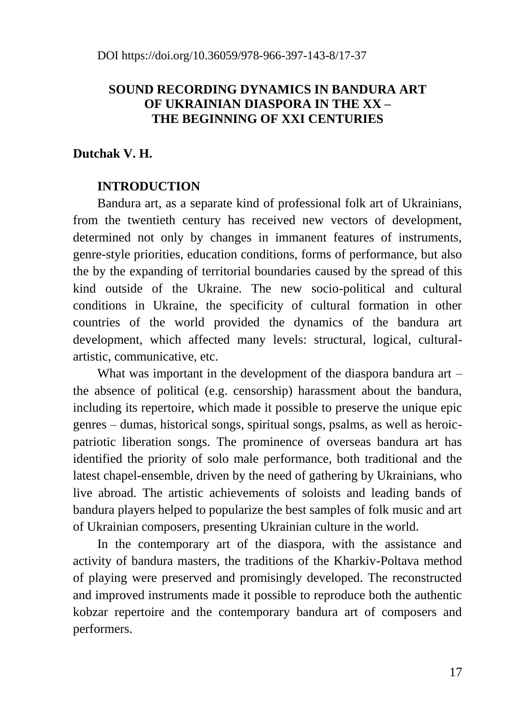## **SOUND RECORDING DYNAMICS IN BANDURA ART OF UKRAINIAN DIASPORA IN THE XX – THE BEGINNING OF XXI CENTURIES**

## **Dutchak V. H.**

### **INTRODUCTION**

Bandura art, as a separate kind of professional folk art of Ukrainians, from the twentieth century has received new vectors of development, determined not only by changes in immanent features of instruments, genre-style priorities, education conditions, forms of performance, but also the by the expanding of territorial boundaries caused by the spread of this kind outside of the Ukraine. The new socio-political and cultural conditions in Ukraine, the specificity of cultural formation in other countries of the world provided the dynamics of the bandura art development, which affected many levels: structural, logical, culturalartistic, communicative, etc.

What was important in the development of the diaspora bandura art – the absence of political (e.g. censorship) harassment about the bandura, including its repertoire, which made it possible to preserve the unique epic genres – dumas, historical songs, spiritual songs, psalms, as well as heroicpatriotic liberation songs. The prominence of overseas bandura art has identified the priority of solo male performance, both traditional and the latest chapel-ensemble, driven by the need of gathering by Ukrainians, who live abroad. The artistic achievements of soloists and leading bands of bandura players helped to popularize the best samples of folk music and art of Ukrainian composers, presenting Ukrainian culture in the world.

In the contemporary art of the diaspora, with the assistance and activity of bandura masters, the traditions of the Kharkiv-Poltava method of playing were preserved and promisingly developed. The reconstructed and improved instruments made it possible to reproduce both the authentic kobzar repertoire and the contemporary bandura art of composers and performers.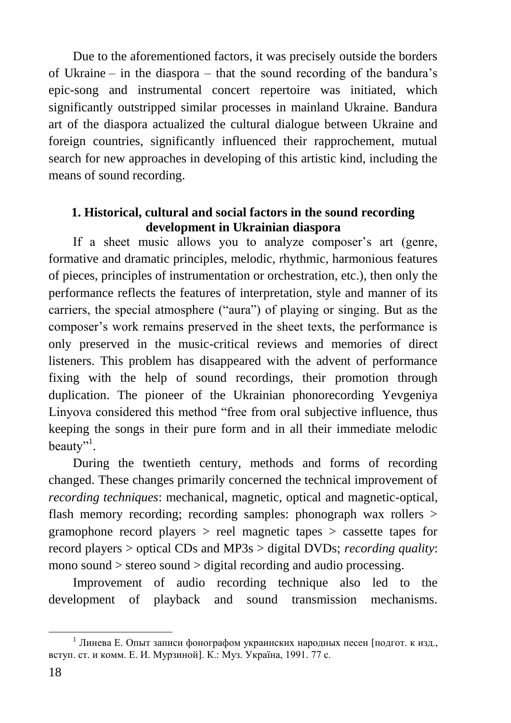Due to the aforementioned factors, it was precisely outside the borders of Ukraine – in the diaspora – that the sound recording of the bandura's epic-song and instrumental concert repertoire was initiated, which significantly outstripped similar processes in mainland Ukraine. Bandura art of the diaspora actualized the cultural dialogue between Ukraine and foreign countries, significantly influenced their rapprochement, mutual search for new approaches in developing of this artistic kind, including the means of sound recording.

### **1. Historical, cultural and social factors in the sound recording development in Ukrainian diaspora**

If a sheet music allows you to analyze composer's art (genre, formative and dramatic principles, melodic, rhythmic, harmonious features of pieces, principles of instrumentation or orchestration, etc.), then only the performance reflects the features of interpretation, style and manner of its carriers, the special atmosphere ("aura") of playing or singing. But as the composer's work remains preserved in the sheet texts, the performance is only preserved in the music-critical reviews and memories of direct listeners. This problem has disappeared with the advent of performance fixing with the help of sound recordings, their promotion through duplication. The pioneer of the Ukrainian phonorecording Yevgeniya Linyova considered this method "free from oral subjective influence, thus keeping the songs in their pure form and in all their immediate melodic beauty"<sup>1</sup>.

During the twentieth century, methods and forms of recording changed. These changes primarily concerned the technical improvement of *recording techniques*: mechanical, magnetic, optical and magnetic-optical, flash memory recording; recording samples: phonograph wax rollers > gramophone record players > reel magnetic tapes > cassette tapes for record players > optical CDs and MP3s > digital DVDs; *recording quality*: mono sound > stereo sound > digital recording and audio processing.

Improvement of audio recording technique also led to the development of playback and sound transmission mechanisms.

<u>.</u>

<sup>&</sup>lt;sup>1</sup> Линева Е. Опыт записи фонографом украинских народных песен [подгот. к изд., вступ. ст. и комм. Е. И. Мурзиной]. К.: Муз. Україна, 1991. 77 с.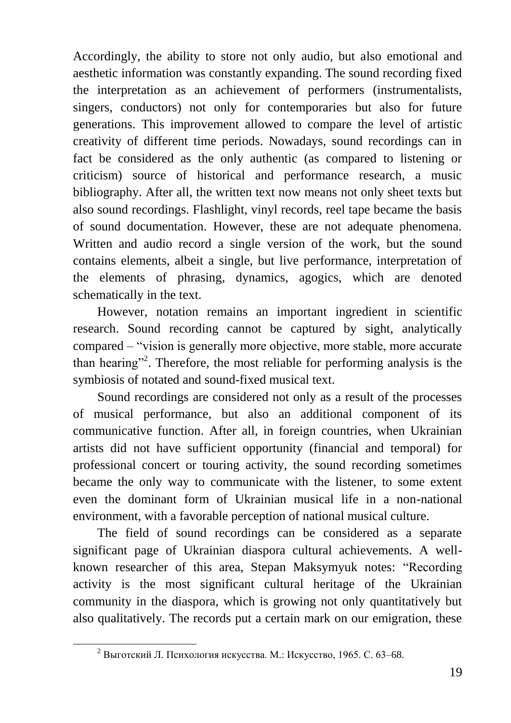Accordingly, the ability to store not only audio, but also emotional and aesthetic information was constantly expanding. The sound recording fixed the interpretation as an achievement of performers (instrumentalists, singers, conductors) not only for contemporaries but also for future generations. This improvement allowed to compare the level of artistic creativity of different time periods. Nowadays, sound recordings can in fact be considered as the only authentic (as compared to listening or criticism) source of historical and performance research, a music bibliography. After all, the written text now means not only sheet texts but also sound recordings. Flashlight, vinyl records, reel tape became the basis of sound documentation. However, these are not adequate phenomena. Written and audio record a single version of the work, but the sound contains elements, albeit a single, but live performance, interpretation of the elements of phrasing, dynamics, agogics, which are denoted schematically in the text.

However, notation remains an important ingredient in scientific research. Sound recording cannot be captured by sight, analytically compared – "vision is generally more objective, more stable, more accurate than hearing"<sup>2</sup>. Therefore, the most reliable for performing analysis is the symbiosis of notated and sound-fixed musical text.

Sound recordings are considered not only as a result of the processes of musical performance, but also an additional component of its communicative function. After all, in foreign countries, when Ukrainian artists did not have sufficient opportunity (financial and temporal) for professional concert or touring activity, the sound recording sometimes became the only way to communicate with the listener, to some extent even the dominant form of Ukrainian musical life in a non-national environment, with a favorable perception of national musical culture.

The field of sound recordings can be considered as a separate significant page of Ukrainian diaspora cultural achievements. A wellknown researcher of this area, Stepan Maksymyuk notes: "Recording activity is the most significant cultural heritage of the Ukrainian community in the diaspora, which is growing not only quantitatively but also qualitatively. The records put a certain mark on our emigration, these

<sup>2</sup> Выготский Л. Психология искусства. М.: Искусство, 1965. С. 63–68.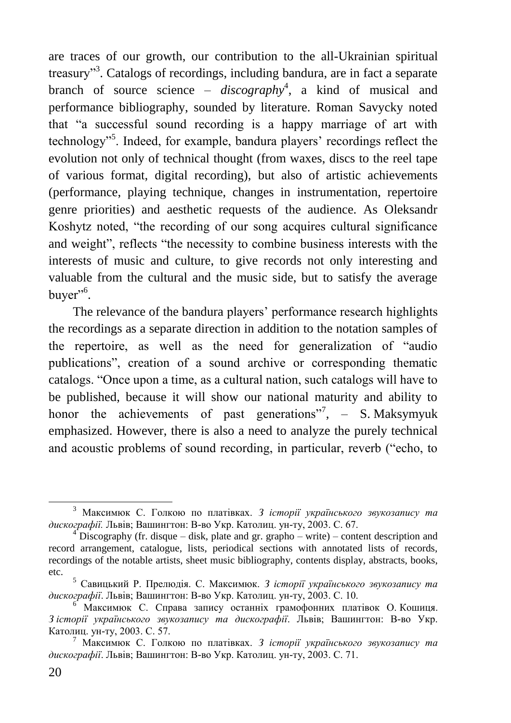are traces of our growth, our contribution to the all-Ukrainian spiritual treasury"<sup>3</sup>. Catalogs of recordings, including bandura, are in fact a separate branch of source science – *discography*<sup>4</sup> , a kind of musical and performance bibliography, sounded by literature. Roman Savycky noted that "a successful sound recording is a happy marriage of art with technology"<sup>5</sup>. Indeed, for example, bandura players' recordings reflect the evolution not only of technical thought (from waxes, discs to the reel tape of various format, digital recording), but also of artistic achievements (performance, playing technique, changes in instrumentation, repertoire genre priorities) and aesthetic requests of the audience. As Oleksandr Koshytz noted, "the recording of our song acquires cultural significance and weight", reflects "the necessity to combine business interests with the interests of music and culture, to give records not only interesting and valuable from the cultural and the music side, but to satisfy the average buyer"<sup>6</sup>.

The relevance of the bandura players' performance research highlights the recordings as a separate direction in addition to the notation samples of the repertoire, as well as the need for generalization of "audio publications", creation of a sound archive or corresponding thematic catalogs. "Once upon a time, as a cultural nation, such catalogs will have to be published, because it will show our national maturity and ability to honor the achievements of past generations",  $-$  S. Maksymyuk emphasized. However, there is also a need to analyze the purely technical and acoustic problems of sound recording, in particular, reverb ("echo, to

<u>.</u>

<sup>3</sup> Максимюк С. Голкою по платівках. *З історії українського звукозапису та дискографії.* Львів; Вашингтон: В-во Укр. Католиц. ун-ту, 2003. С. 67.

<sup>&</sup>lt;sup>4</sup> Discography (fr. disque – disk, plate and gr. grapho – write) – content description and record arrangement, catalogue, lists, periodical sections with annotated lists of records, recordings of the notable artists, sheet music bibliography, contents display, abstracts, books, etc.

<sup>5</sup> Савицький Р. Прелюдія. С. Максимюк. *З історії українського звукозапису та дискографії*. Львів; Вашингтон: В-во Укр. Католиц. ун-ту, 2003. С. 10.

<sup>6</sup> Максимюк С. Справа запису останніх грамофонних платівок О. Кошиця. *З історії українського звукозапису та дискографії*. Львів; Вашингтон: В-во Укр. Католиц. ун-ту, 2003. С. 57.

<sup>7</sup> Максимюк С. Голкою по платівках. *З історії українського звукозапису та дискографії*. Львів; Вашингтон: В-во Укр. Католиц. ун-ту, 2003. С. 71.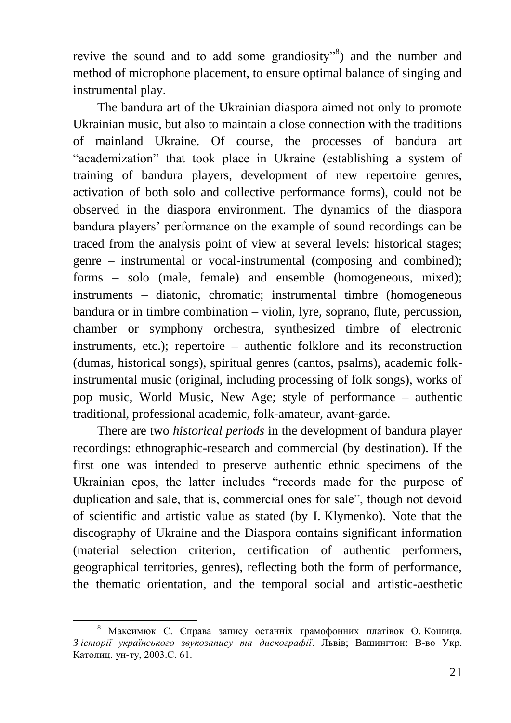revive the sound and to add some grandiosity"<sup>8</sup>) and the number and method of microphone placement, to ensure optimal balance of singing and instrumental play.

The bandura art of the Ukrainian diaspora aimed not only to promote Ukrainian music, but also to maintain a close connection with the traditions of mainland Ukraine. Of course, the processes of bandura art "academization" that took place in Ukraine (establishing a system of training of bandura players, development of new repertoire genres, activation of both solo and collective performance forms), could not be observed in the diaspora environment. The dynamics of the diaspora bandura players' performance on the example of sound recordings can be traced from the analysis point of view at several levels: historical stages; genre – instrumental or vocal-instrumental (composing and combined); forms – solo (male, female) and ensemble (homogeneous, mixed); instruments – diatonic, chromatic; instrumental timbre (homogeneous bandura or in timbre combination – violin, lyre, soprano, flute, percussion, chamber or symphony orchestra, synthesized timbre of electronic instruments, etc.); repertoire – authentic folklore and its reconstruction (dumas, historical songs), spiritual genres (cantos, psalms), academic folkinstrumental music (original, including processing of folk songs), works of pop music, World Music, New Age; style of performance – authentic traditional, professional academic, folk-amateur, avant-garde.

There are two *historical periods* in the development of bandura player recordings: ethnographic-research and commercial (by destination). If the first one was intended to preserve authentic ethnic specimens of the Ukrainian epos, the latter includes "records made for the purpose of duplication and sale, that is, commercial ones for sale", though not devoid of scientific and artistic value as stated (by I. Klymenko). Note that the discography of Ukraine and the Diaspora contains significant information (material selection criterion, certification of authentic performers, geographical territories, genres), reflecting both the form of performance, the thematic orientation, and the temporal social and artistic-aesthetic

<sup>1</sup> <sup>8</sup> Максимюк С. Справа запису останніх грамофонних платівок О. Кошиця. *З історії українського звукозапису та дискографії*. Львів; Вашингтон: В-во Укр. Католиц. ун-ту, 2003.С. 61.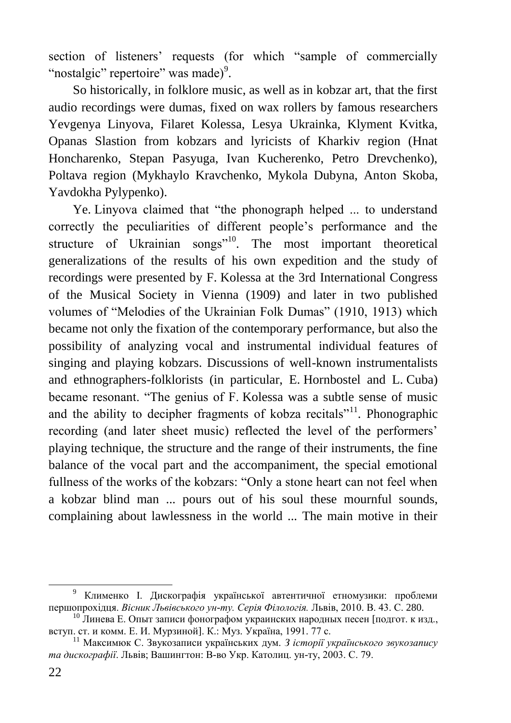section of listeners' requests (for which "sample of commercially "nostalgic" repertoire" was made)<sup>9</sup>.

So historically, in folklore music, as well as in kobzar art, that the first audio recordings were dumas, fixed on wax rollers by famous researchers Yevgenya Linyova, Filaret Kolessa, Lesya Ukrainka, Klyment Kvitka, Opanas Slastion from kobzars and lyricists of Kharkiv region (Hnat Honcharenko, Stepan Pasyuga, Ivan Kucherenko, Petro Drevchenko), Poltava region (Mykhaylo Kravchenko, Mykola Dubyna, Anton Skoba, Yavdokha Pylypenko).

Ye. Linyova claimed that "the phonograph helped ... to understand correctly the peculiarities of different people's performance and the structure of Ukrainian songs"<sup>10</sup>. The most important theoretical generalizations of the results of his own expedition and the study of recordings were presented by F. Kolessa at the 3rd International Congress of the Musical Society in Vienna (1909) and later in two published volumes of "Melodies of the Ukrainian Folk Dumas" (1910, 1913) which became not only the fixation of the contemporary performance, but also the possibility of analyzing vocal and instrumental individual features of singing and playing kobzars. Discussions of well-known instrumentalists and ethnographers-folklorists (in particular, E. Hornbostel and L. Cuba) became resonant. "The genius of F. Kolessa was a subtle sense of music and the ability to decipher fragments of kobza recitals"<sup>11</sup>. Phonographic recording (and later sheet music) reflected the level of the performers' playing technique, the structure and the range of their instruments, the fine balance of the vocal part and the accompaniment, the special emotional fullness of the works of the kobzars: "Only a stone heart can not feel when a kobzar blind man ... pours out of his soul these mournful sounds, complaining about lawlessness in the world ... The main motive in their

<sup>&</sup>lt;sup>9</sup> Клименко І. Дискографія української автентичної етномузики: проблеми першопрохідця. *Вісник Львівського ун-ту. Серія Філологія.* Львів, 2010. В. 43. С. 280.

 $^{10}$  Линева Е. Опыт записи фонографом украинских народных песен [подгот. к изд., вступ. ст. и комм. Е. И. Мурзиной]. К.: Муз. Україна, 1991. 77 с.

<sup>11</sup> Максимюк С. Звукозаписи українських дум. *З історії українського звукозапису та дискографії*. Львів; Вашингтон: В-во Укр. Католиц. ун-ту, 2003. С. 79.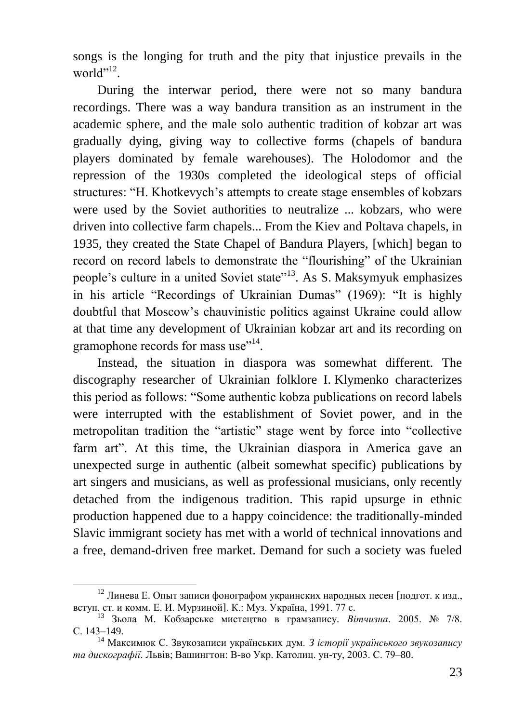songs is the longing for truth and the pity that injustice prevails in the world"<sup>12</sup>.

During the interwar period, there were not so many bandura recordings. There was a way bandura transition as an instrument in the academic sphere, and the male solo authentic tradition of kobzar art was gradually dying, giving way to collective forms (chapels of bandura players dominated by female warehouses). The Holodomor and the repression of the 1930s completed the ideological steps of official structures: "H. Khotkevych's attempts to create stage ensembles of kobzars were used by the Soviet authorities to neutralize ... kobzars, who were driven into collective farm chapels... From the Kiev and Poltava chapels, in 1935, they created the State Chapel of Bandura Players, [which] began to record on record labels to demonstrate the "flourishing" of the Ukrainian people's culture in a united Soviet state"<sup>13</sup>. As S. Maksymyuk emphasizes in his article "Recordings of Ukrainian Dumas" (1969): "It is highly doubtful that Moscow's chauvinistic politics against Ukraine could allow at that time any development of Ukrainian kobzar art and its recording on gramophone records for mass use"<sup>14</sup>.

Instead, the situation in diaspora was somewhat different. The discography researcher of Ukrainian folklore I. Klymenko characterizes this period as follows: "Some authentic kobza publications on record labels were interrupted with the establishment of Soviet power, and in the metropolitan tradition the "artistic" stage went by force into "collective farm art". At this time, the Ukrainian diaspora in America gave an unexpected surge in authentic (albeit somewhat specific) publications by art singers and musicians, as well as professional musicians, only recently detached from the indigenous tradition. This rapid upsurge in ethnic production happened due to a happy coincidence: the traditionally-minded Slavic immigrant society has met with a world of technical innovations and a free, demand-driven free market. Demand for such a society was fueled

<sup>&</sup>lt;sup>12</sup> Линева Е. Опыт записи фонографом украинских народных песен [подгот. к изд., вступ. ст. и комм. Е. И. Мурзиной]. К.: Муз. Україна, 1991. 77 с.

<sup>13</sup> Зьола М. Кобзарське мистецтво в грамзапису. *Вітчизна*. 2005. № 7/8. С. 143–149.

<sup>14</sup> Максимюк С. Звукозаписи українських дум. *З історії українського звукозапису та дискографії*. Львів; Вашингтон: В-во Укр. Католиц. ун-ту, 2003. С. 79–80.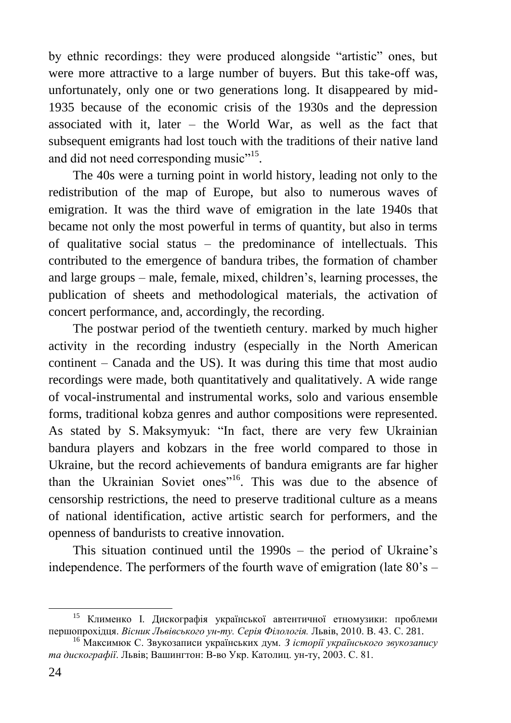by ethnic recordings: they were produced alongside "artistic" ones, but were more attractive to a large number of buyers. But this take-off was, unfortunately, only one or two generations long. It disappeared by mid-1935 because of the economic crisis of the 1930s and the depression associated with it, later – the World War, as well as the fact that subsequent emigrants had lost touch with the traditions of their native land and did not need corresponding music"<sup>15</sup>.

The 40s were a turning point in world history, leading not only to the redistribution of the map of Europe, but also to numerous waves of emigration. It was the third wave of emigration in the late 1940s that became not only the most powerful in terms of quantity, but also in terms of qualitative social status – the predominance of intellectuals. This contributed to the emergence of bandura tribes, the formation of chamber and large groups – male, female, mixed, children's, learning processes, the publication of sheets and methodological materials, the activation of concert performance, and, accordingly, the recording.

The postwar period of the twentieth century. marked by much higher activity in the recording industry (especially in the North American continent – Canada and the US). It was during this time that most audio recordings were made, both quantitatively and qualitatively. A wide range of vocal-instrumental and instrumental works, solo and various ensemble forms, traditional kobza genres and author compositions were represented. As stated by S. Maksymyuk: "In fact, there are very few Ukrainian bandura players and kobzars in the free world compared to those in Ukraine, but the record achievements of bandura emigrants are far higher than the Ukrainian Soviet ones"<sup>16</sup>. This was due to the absence of censorship restrictions, the need to preserve traditional culture as a means of national identification, active artistic search for performers, and the openness of bandurists to creative innovation.

This situation continued until the 1990s – the period of Ukraine's independence. The performers of the fourth wave of emigration (late  $80\degree$ s –

<sup>15</sup> Клименко І. Дискографія української автентичної етномузики: проблеми першопрохідця. *Вісник Львівського ун-ту. Серія Філологія.* Львів, 2010. В. 43. С. 281.

<sup>16</sup> Максимюк С. Звукозаписи українських дум. *З історії українського звукозапису та дискографії*. Львів; Вашингтон: В-во Укр. Католиц. ун-ту, 2003. С. 81.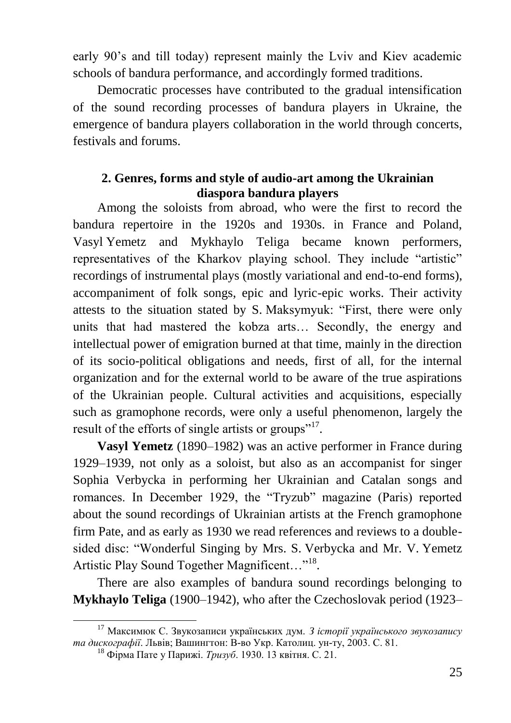early 90's and till today) represent mainly the Lviv and Kiev academic schools of bandura performance, and accordingly formed traditions.

Democratic processes have contributed to the gradual intensification of the sound recording processes of bandura players in Ukraine, the emergence of bandura players collaboration in the world through concerts, festivals and forums.

#### **2. Genres, forms and style of audio-art among the Ukrainian diaspora bandura players**

Among the soloists from abroad, who were the first to record the bandura repertoire in the 1920s and 1930s. in France and Poland, Vasyl Yemetz and Mykhaylo Teliga became known performers, representatives of the Kharkov playing school. They include "artistic" recordings of instrumental plays (mostly variational and end-to-end forms), accompaniment of folk songs, epic and lyric-epic works. Their activity attests to the situation stated by S. Maksymyuk: "First, there were only units that had mastered the kobza arts… Secondly, the energy and intellectual power of emigration burned at that time, mainly in the direction of its socio-political obligations and needs, first of all, for the internal organization and for the external world to be aware of the true aspirations of the Ukrainian people. Cultural activities and acquisitions, especially such as gramophone records, were only a useful phenomenon, largely the result of the efforts of single artists or groups"<sup>17</sup>.

**Vasyl Yemetz** (1890–1982) was an active performer in France during 1929–1939, not only as a soloist, but also as an accompanist for singer Sophia Verbycka in performing her Ukrainian and Catalan songs and romances. In December 1929, the "Tryzub" magazine (Paris) reported about the sound recordings of Ukrainian artists at the French gramophone firm Pate, and as early as 1930 we read references and reviews to a doublesided disc: "Wonderful Singing by Mrs. S. Verbycka and Mr. V. Yemetz Artistic Play Sound Together Magnificent..."<sup>18</sup>.

There are also examples of bandura sound recordings belonging to **Mykhaylo Teliga** (1900–1942), who after the Czechoslovak period (1923–

<sup>17</sup> Максимюк С. Звукозаписи українських дум. *З історії українського звукозапису та дискографії*. Львів; Вашингтон: В-во Укр. Католиц. ун-ту, 2003. С. 81.

<sup>18</sup> Фірма Пате у Парижі. *Тризуб*. 1930. 13 квітня. С. 21.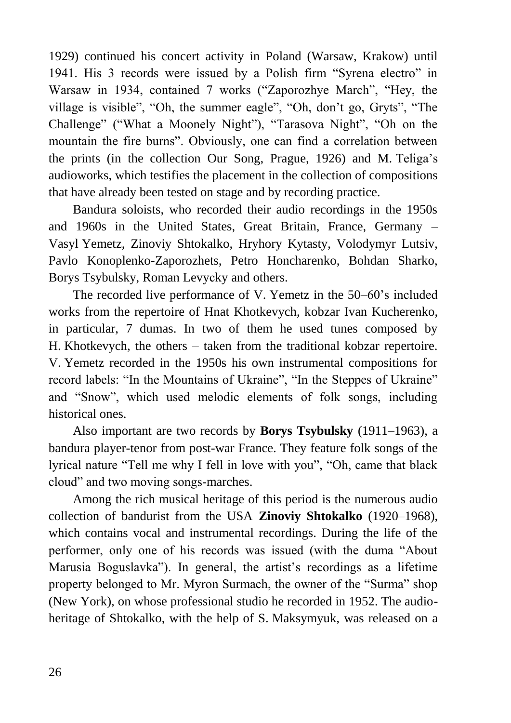1929) continued his concert activity in Poland (Warsaw, Krakow) until 1941. His 3 records were issued by a Polish firm "Syrena electro" in Warsaw in 1934, contained 7 works ("Zaporozhye March", "Hey, the village is visible", "Oh, the summer eagle", "Oh, don't go, Gryts", "The Challenge" ("What a Moonely Night"), "Tarasova Night", "Oh on the mountain the fire burns". Obviously, one can find a correlation between the prints (in the collection Our Song, Prague, 1926) and M. Teliga's audioworks, which testifies the placement in the collection of compositions that have already been tested on stage and by recording practice.

Bandura soloists, who recorded their audio recordings in the 1950s and 1960s in the United States, Great Britain, France, Germany – Vasyl Yemetz, Zinoviy Shtokalko, Hryhory Kytasty, Volodymyr Lutsiv, Pavlo Konoplenko-Zaporozhets, Petro Honcharenko, Bohdan Sharko, Borys Tsybulsky, Roman Levyсky and others.

The recorded live performance of V. Yemetz in the 50–60's included works from the repertoire of Hnat Khotkevych, kobzar Ivan Kucherenko, in particular, 7 dumas. In two of them he used tunes composed by H. Khotkevych, the others – taken from the traditional kobzar repertoire. V. Yemetz recorded in the 1950s his own instrumental compositions for record labels: "In the Mountains of Ukraine", "In the Steppes of Ukraine" and "Snow", which used melodic elements of folk songs, including historical ones.

Also important are two records by **Borys Tsybulsky** (1911–1963), a bandura player-tenor from post-war France. They feature folk songs of the lyrical nature "Tell me why I fell in love with you", "Oh, came that black cloud" and two moving songs-marches.

Among the rich musical heritage of this period is the numerous audio collection of bandurist from the USA **Zinoviy Shtokalko** (1920–1968), which contains vocal and instrumental recordings. During the life of the performer, only one of his records was issued (with the duma "About Marusia Boguslavka"). In general, the artist's recordings as a lifetime property belonged to Mr. Myron Surmach, the owner of the "Surma" shop (New York), on whose professional studio he recorded in 1952. The audioheritage of Shtokalko, with the help of S. Maksymyuk, was released on a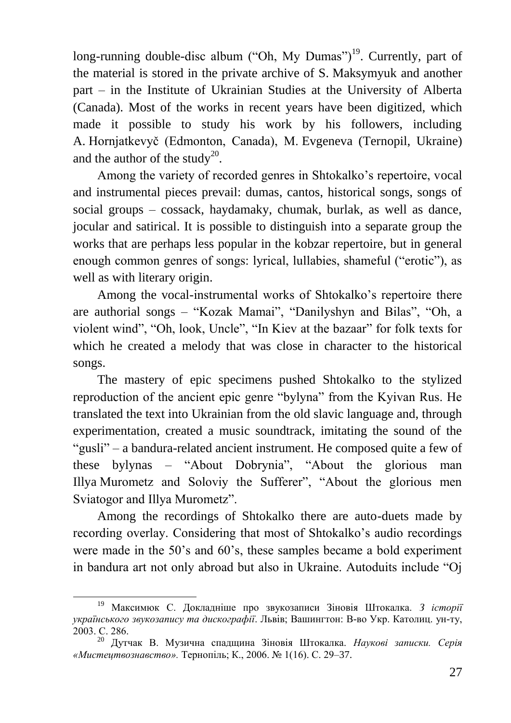long-running double-disc album ("Oh, My Dumas")<sup>19</sup>. Currently, part of the material is stored in the private archive of S. Maksymyuk and another part – in the Institute of Ukrainian Studies at the University of Alberta (Canada). Most of the works in recent years have been digitized, which made it possible to study his work by his followers, including A. Hornjatkevyč (Edmonton, Canada), M. Evgeneva (Ternopil, Ukraine) and the author of the study<sup>20</sup>.

Among the variety of recorded genres in Shtokalko's repertoire, vocal and instrumental pieces prevail: dumas, cantos, historical songs, songs of social groups – cossack, haydamaky, chumak, burlak, as well as dance, jocular and satirical. It is possible to distinguish into a separate group the works that are perhaps less popular in the kobzar repertoire, but in general enough common genres of songs: lyrical, lullabies, shameful ("erotic"), as well as with literary origin.

Among the vocal-instrumental works of Shtokalko's repertoire there are authorial songs – "Kozak Mamai", "Danilyshyn and Bilas", "Oh, a violent wind", "Oh, look, Uncle", "In Kiev at the bazaar" for folk texts for which he created a melody that was close in character to the historical songs.

The mastery of epic specimens pushed Shtokalko to the stylized reproduction of the ancient epic genre "bylyna" from the Kyivan Rus. He translated the text into Ukrainian from the old slavic language and, through experimentation, created a music soundtrack, imitating the sound of the "gusli" – a bandura-related ancient instrument. He composed quite a few of these bylynas – "About Dobrynia", "About the glorious man Illya Murometz and Soloviy the Sufferer", "About the glorious men Sviatogor and Illya Murometz".

Among the recordings of Shtokalko there are auto-duets made by recording overlay. Considering that most of Shtokalko's audio recordings were made in the 50's and 60's, these samples became a bold experiment in bandura art not only abroad but also in Ukraine. Autoduits include "Oj

<sup>19</sup> Максимюк С. Докладніше про звукозаписи Зіновія Штокалка. *З історії українського звукозапису та дискографії*. Львів; Вашингтон: В-во Укр. Католиц. ун-ту, 2003. С. 286.

<sup>20</sup> Дутчак В. Музична спадщина Зіновія Штокалка. *Наукові записки. Серія «Мистецтвознавство».* Тернопіль; К., 2006. № 1(16). С. 29–37.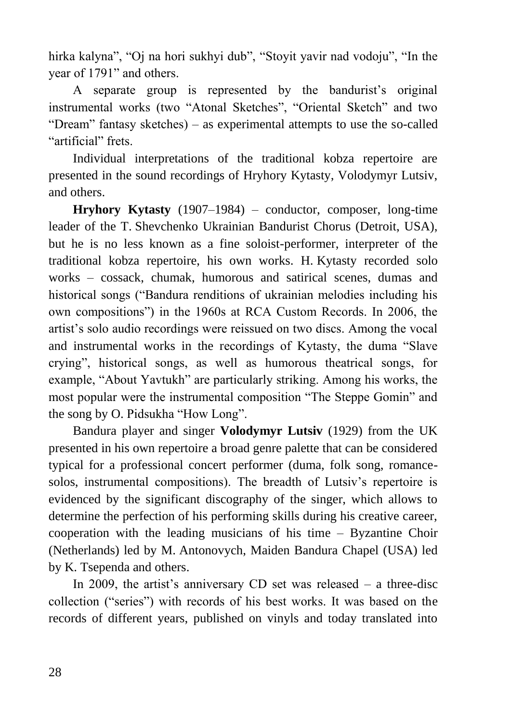hirka kalyna", "Oj na hori sukhyi dub", "Stoyit yavir nad vodoju", "In the year of 1791" and others.

A separate group is represented by the bandurist's original instrumental works (two "Atonal Sketches", "Oriental Sketch" and two "Dream" fantasy sketches) – as experimental attempts to use the so-called "artificial" frets.

Individual interpretations of the traditional kobza repertoire are presented in the sound recordings of Hryhory Kytasty, Volodymyr Lutsiv, and others.

**Hryhory Kytasty** (1907–1984) – conductor, composer, long-time leader of the T. Shevchenko Ukrainian Bandurist Chorus (Detroit, USA), but he is no less known as a fine soloist-performer, interpreter of the traditional kobza repertoire, his own works. H. Kytasty recorded solo works – cossack, chumak, humorous and satirical scenes, dumas and historical songs ("Bandura renditions of ukrainian melodies including his own compositions") in the 1960s at RCA Custom Records. In 2006, the artist's solo audio recordings were reissued on two discs. Among the vocal and instrumental works in the recordings of Kytasty, the duma "Slave crying", historical songs, as well as humorous theatrical songs, for example, "About Yavtukh" are particularly striking. Among his works, the most popular were the instrumental composition "The Steppe Gomin" and the song by O. Pidsukha "How Long".

Bandura player and singer **Volodymyr Lutsiv** (1929) from the UK presented in his own repertoire a broad genre palette that can be considered typical for a professional concert performer (duma, folk song, romancesolos, instrumental compositions). The breadth of Lutsiv's repertoire is evidenced by the significant discography of the singer, which allows to determine the perfection of his performing skills during his creative career, cooperation with the leading musicians of his time – Byzantine Choir (Netherlands) led by M. Antonovych, Maiden Bandura Chapel (USA) led by K. Tsependa and others.

In 2009, the artist's anniversary CD set was released – a three-disc collection ("series") with records of his best works. It was based on the records of different years, published on vinyls and today translated into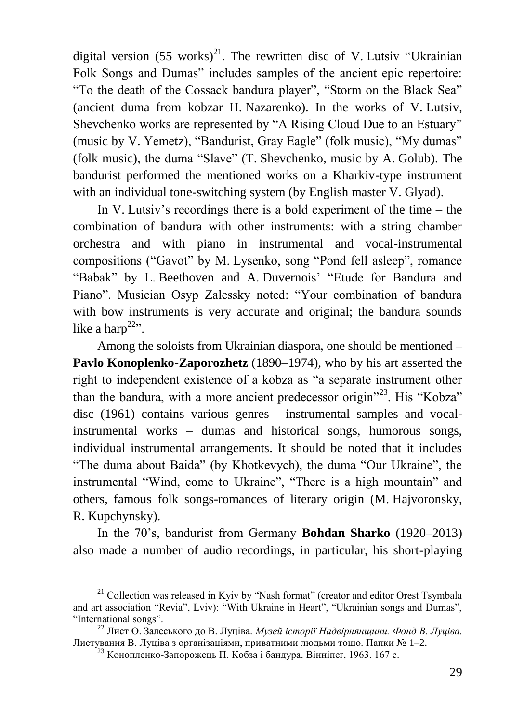digital version  $(55 \text{ works})^{21}$ . The rewritten disc of V. Lutsiv "Ukrainian" Folk Songs and Dumas" includes samples of the ancient epic repertoire: "To the death of the Cossack bandura player", "Storm on the Black Sea" (ancient duma from kobzar H. Nazarenko). In the works of V. Lutsiv, Shevchenko works are represented by "A Rising Cloud Due to an Estuary" (music by V. Yemetz), "Bandurist, Gray Eagle" (folk music), "My dumas" (folk music), the duma "Slave" (T. Shevchenko, music by A. Golub). The bandurist performed the mentioned works on a Kharkiv-type instrument with an individual tone-switching system (by English master V. Glyad).

In V. Lutsiv's recordings there is a bold experiment of the time  $-$  the combination of bandura with other instruments: with a string chamber orchestra and with piano in instrumental and vocal-instrumental compositions ("Gavot" by M. Lysenko, song "Pond fell asleep", romance "Babak" by L. Beethoven and A. Duvernois' "Etude for Bandura and Piano". Musician Osyp Zalessky noted: "Your combination of bandura with bow instruments is very accurate and original; the bandura sounds like a harp<sup>22</sup>".

Among the soloists from Ukrainian diaspora, one should be mentioned – **Pavlo Konoplenko-Zaporozhetz** (1890–1974), who by his art asserted the right to independent existence of a kobza as "a separate instrument other than the bandura, with a more ancient predecessor origin<sup>"23</sup>. His "Kobza" disc (1961) contains various genres – instrumental samples and vocalinstrumental works – dumas and historical songs, humorous songs, individual instrumental arrangements. It should be noted that it includes "The duma about Baida" (by Khotkevych), the duma "Our Ukraine", the instrumental "Wind, come to Ukraine", "There is a high mountain" and others, famous folk songs-romances of literary origin (M. Hajvoronsky, R. Kupchynsky).

In the 70's, bandurist from Germany **Bohdan Sharko** (1920–2013) also made a number of audio recordings, in particular, his short-playing

<sup>&</sup>lt;sup>21</sup> Collection was released in Kyiv by "Nash format" (creator and editor Orest Tsymbala and art association "Revia", Lviv): "With Ukraine in Heart", "Ukrainian songs and Dumas", "International songs".

<sup>22</sup> Лист О. Залеського до В. Луціва. *Музей історії Надвірнянщини. Фонд В. Луціва.* Листування В. Луціва з організаціями, приватними людьми тощо. Папки № 1–2.

<sup>&</sup>lt;sup>23</sup> Конопленко-Запорожець П. Кобза і бандура. Вінніпеґ, 1963. 167 с.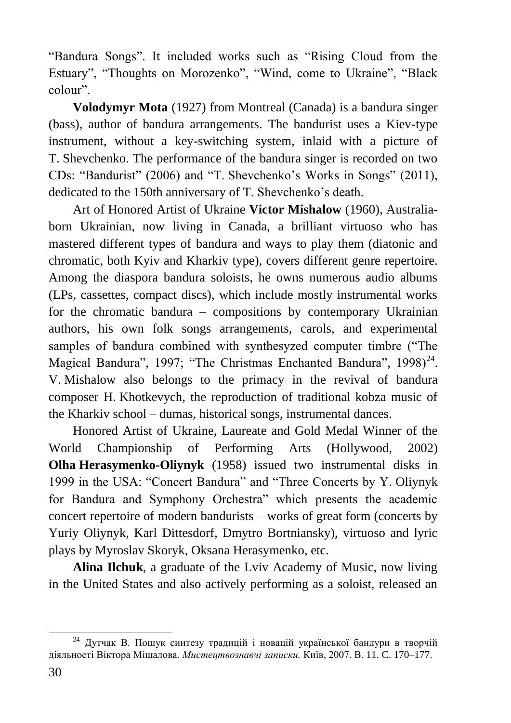"Bandura Songs". It included works such as "Rising Cloud from the Estuary", "Thoughts on Morozenko", "Wind, come to Ukraine", "Black colour".

**Volodymyr Mota** (1927) from Montreal (Canada) is a bandura singer (bass), author of bandura arrangements. The bandurist uses a Kiev-type instrument, without a key-switching system, inlaid with a picture of T. Shevchenko. The performance of the bandura singer is recorded on two CDs: "Bandurist" (2006) and "T. Shevchenko's Works in Songs" (2011), dedicated to the 150th anniversary of T. Shevchenko's death.

Art of Honored Artist of Ukraine **Victor Mishalow** (1960), Australiaborn Ukrainian, now living in Canada, a brilliant virtuoso who has mastered different types of bandura and ways to play them (diatonic and chromatic, both Kyiv and Kharkiv type), covers different genre repertoire. Among the diaspora bandura soloists, he owns numerous audio albums (LPs, cassettes, compact discs), which include mostly instrumental works for the chromatic bandura – compositions by contemporary Ukrainian authors, his own folk songs arrangements, carols, and experimental samples of bandura combined with synthesyzed computer timbre ("The Magical Bandura", 1997; "The Christmas Enchanted Bandura", 1998)<sup>24</sup>. V. Mishalow also belongs to the primacy in the revival of bandura composer H. Khotkevych, the reproduction of traditional kobza music of the Kharkiv school – dumas, historical songs, instrumental dances.

Honored Artist of Ukraine, Laureate and Gold Medal Winner of the World Championship of Performing Arts (Hollywood, 2002) **Olha Herasymenko-Oliynyk** (1958) issued two instrumental disks in 1999 in the USA: "Concert Bandura" and "Three Concerts by Y. Oliynyk for Bandura and Symphony Orchestra" which presents the academic concert repertoire of modern bandurists – works of great form (concerts by Yuriy Oliynyk, Karl Dittesdorf, Dmytro Bortniansky), virtuoso and lyric plays by Myroslav Skoryk, Oksana Herasymenko, etc.

**Alina Ilchuk**, a graduate of the Lviv Academy of Music, now living in the United States and also actively performing as a soloist, released an

<sup>&</sup>lt;u>.</u> <sup>24</sup> Дутчак В. Пошук синтезу традицій і новацій української бандури в творчій діяльності Віктора Мішалова. *Мистецтвознавчі записки.* Київ, 2007. В. 11. C. 170–177.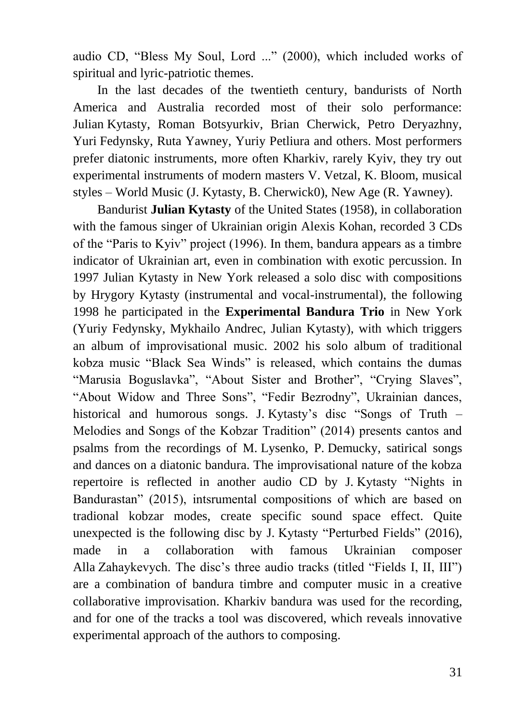audio CD, "Bless My Soul, Lord ..." (2000), which included works of spiritual and lyric-patriotic themes.

In the last decades of the twentieth century, bandurists of North America and Australia recorded most of their solo performance: Julian Kytasty, Roman Botsyurkiv, Brian Cherwick, Petro Deryazhny, Yuri Fedynsky, Ruta Yawney, Yuriy Petliura and others. Most performers prefer diatonic instruments, more often Kharkiv, rarely Kyiv, they try out experimental instruments of modern masters V. Vetzal, K. Bloom, musical styles – World Music (J. Kytasty, B. Cherwick0), New Age (R. Yawney).

Bandurist **Julian Kytasty** of the United States (1958), in collaboration with the famous singer of Ukrainian origin Alexis Kohan, recorded 3 CDs of the "Paris to Kyiv" project (1996). In them, bandura appears as a timbre indicator of Ukrainian art, even in combination with exotic percussion. In 1997 Julian Kytasty in New York released a solo disc with compositions by Hrygory Kytasty (instrumental and vocal-instrumental), the following 1998 he participated in the **Experimental Bandura Trio** in New York (Yuriy Fedynsky, Mykhailo Andrec, Julian Kytasty), with which triggers an album of improvisational music. 2002 his solo album of traditional kobza music "Black Sea Winds" is released, which contains the dumas "Marusia Boguslavka", "About Sister and Brother", "Crying Slaves", "About Widow and Three Sons", "Fedir Bezrodny", Ukrainian dances, historical and humorous songs. J. Kytasty's disc "Songs of Truth – Melodies and Songs of the Kobzar Tradition" (2014) presents cantos and psalms from the recordings of M. Lysenko, P. Demucky, satirical songs and dances on a diatonic bandura. The improvisational nature of the kobza repertoire is reflected in another audio CD by J. Kytasty "Nights in Bandurastan" (2015), intsrumental compositions of which are based on tradional kobzar modes, create specific sound space effect. Quite unexpected is the following disc by J. Kytasty "Perturbed Fields" (2016), made in a collaboration with famous Ukrainian composer Alla Zahaykevych. The disc's three audio tracks (titled "Fields I, II, III") are a combination of bandura timbre and computer music in a creative collaborative improvisation. Kharkiv bandura was used for the recording, and for one of the tracks a tool was discovered, which reveals innovative experimental approach of the authors to composing.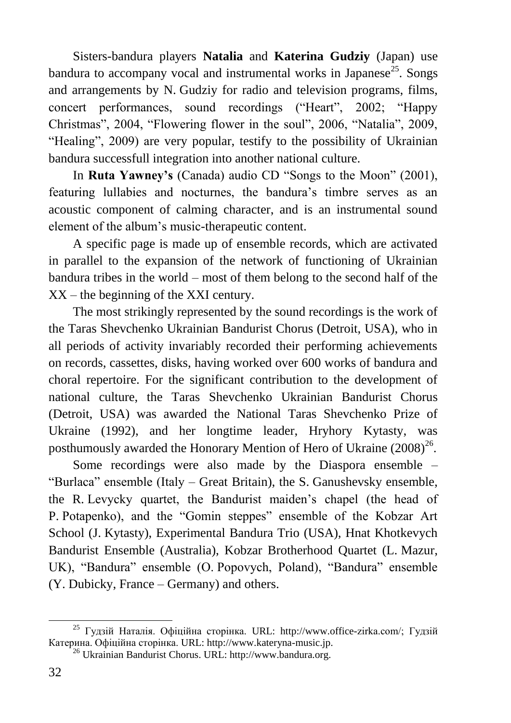Sisters-bandura players **Natalia** and **Katerina Gudziy** (Japan) use bandura to accompany vocal and instrumental works in Japanese<sup>25</sup>. Songs and arrangements by N. Gudziy for radio and television programs, films, concert performances, sound recordings ("Heart", 2002; "Happy Christmas", 2004, "Flowering flower in the soul", 2006, "Natalia", 2009, "Healing", 2009) are very popular, testify to the possibility of Ukrainian bandura successfull integration into another national culture.

In **Ruta Yawney's** (Canada) audio CD "Songs to the Moon" (2001), featuring lullabies and nocturnes, the bandura's timbre serves as an acoustic component of calming character, and is an instrumental sound element of the album's music-therapeutic content.

A specific page is made up of ensemble records, which are activated in parallel to the expansion of the network of functioning of Ukrainian bandura tribes in the world – most of them belong to the second half of the XX – the beginning of the XXI century.

The most strikingly represented by the sound recordings is the work of the Taras Shevchenko Ukrainian Bandurist Chorus (Detroit, USA), who in all periods of activity invariably recorded their performing achievements on records, cassettes, disks, having worked over 600 works of bandura and choral repertoire. For the significant contribution to the development of national culture, the Taras Shevchenko Ukrainian Bandurist Chorus (Detroit, USA) was awarded the National Taras Shevchenko Prize of Ukraine (1992), and her longtime leader, Hryhory Kytasty, was posthumously awarded the Honorary Mention of Hero of Ukraine  $(2008)^{26}$ .

Some recordings were also made by the Diaspora ensemble – "Burlaca" ensemble (Italy – Great Britain), the S. Ganushevsky ensemble, the R. Levycky quartet, the Bandurist maiden's chapel (the head of P. Potapenko), and the "Gomin steppes" ensemble of the Kobzar Art School (J. Kytasty), Experimental Bandura Trio (USA), Hnat Khotkevych Bandurist Ensemble (Australia), Kobzar Brotherhood Quartet (L. Mazur, UK), "Bandura" ensemble (O. Popovych, Poland), "Bandura" ensemble (Y. Dubicky, France – Germany) and others.

<sup>1</sup> <sup>25</sup> Гудзій Наталія. Офіційна сторінка. URL: http://www.office-zirka.com/; Гудзій Катерина. Офіційна сторінка. URL: http://www.kateryna-music.jp.

<sup>26</sup> Ukrainian Bandurist Chorus. URL: http://www.bandura.org.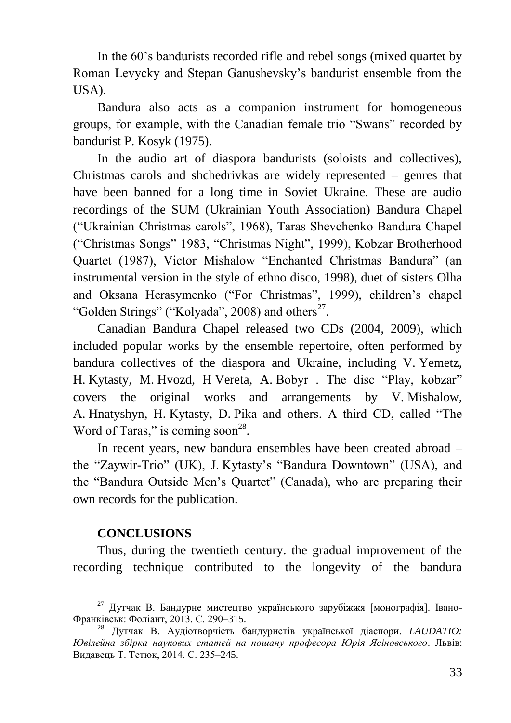In the 60's bandurists recorded rifle and rebel songs (mixed quartet by Roman Levycky and Stepan Ganushevsky's bandurist ensemble from the USA).

Bandura also acts as a companion instrument for homogeneous groups, for example, with the Canadian female trio "Swans" recorded by bandurist P. Kosyk (1975).

In the audio art of diaspora bandurists (soloists and collectives), Christmas carols and shchedrivkas are widely represented – genres that have been banned for a long time in Soviet Ukraine. These are audio recordings of the SUM (Ukrainian Youth Association) Bandura Chapel ("Ukrainian Christmas carols", 1968), Taras Shevchenko Bandura Chapel ("Christmas Songs" 1983, "Christmas Night", 1999), Kobzar Brotherhood Quartet (1987), Victor Mishalow "Enchanted Christmas Bandura" (an instrumental version in the style of ethno disco, 1998), duet of sisters Olha and Oksana Herasymenko ("For Christmas", 1999), children's chapel "Golden Strings" ("Kolyada", 2008) and others<sup>27</sup>.

Canadian Bandura Chapel released two CDs (2004, 2009), which included popular works by the ensemble repertoire, often performed by bandura collectives of the diaspora and Ukraine, including V. Yemetz, H. Kytasty, M. Hvozd, H Vereta, A. Bobyr . The disc "Play, kobzar" covers the original works and arrangements by V. Mishalow, A. Hnatyshyn, H. Kytasty, D. Pika and others. A third CD, called "The Word of Taras," is coming soon<sup>28</sup>.

In recent years, new bandura ensembles have been created abroad – the "Zaywir-Trio" (UK), J. Kytasty's "Bandura Downtown" (USA), and the "Bandura Outside Men's Quartet" (Canada), who are preparing their own records for the publication.

#### **CONCLUSIONS**

1

Thus, during the twentieth century. the gradual improvement of the recording technique contributed to the longevity of the bandura

<sup>&</sup>lt;sup>27</sup> Дутчак В. Бандурне мистецтво українського зарубіжжя [монографія]. Івано-Франківськ: Фоліант, 2013. С. 290–315.

<sup>28</sup> Дутчак В. Аудіотворчість бандуристів української діаспори. *LAUDATIO: Ювілейна збірка наукових статей на пошану професора Юрія Ясіновського*. Львів: Видавець Т. Тетюк, 2014. С. 235–245.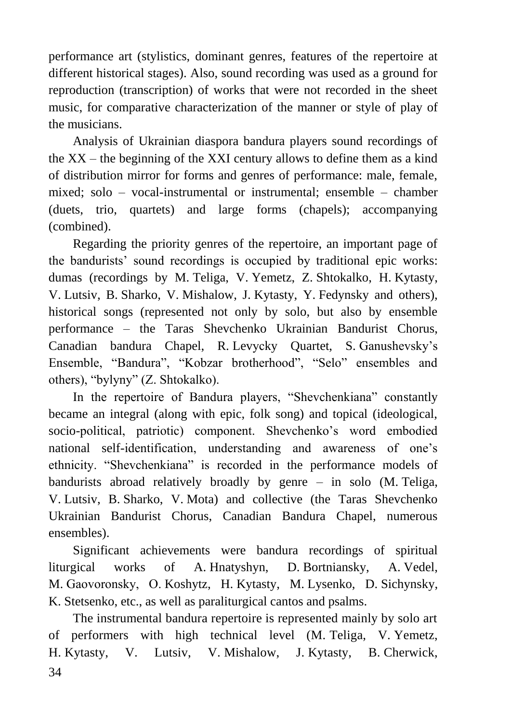performance art (stylistics, dominant genres, features of the repertoire at different historical stages). Also, sound recording was used as a ground for reproduction (transcription) of works that were not recorded in the sheet music, for comparative characterization of the manner or style of play of the musicians.

Analysis of Ukrainian diaspora bandura players sound recordings of the XX – the beginning of the XXI century allows to define them as a kind of distribution mirror for forms and genres of performance: male, female, mixed; solo – vocal-instrumental or instrumental; ensemble – chamber (duets, trio, quartets) and large forms (chapels); accompanying (combined).

Regarding the priority genres of the repertoire, an important page of the bandurists' sound recordings is occupied by traditional epic works: dumas (recordings by M. Teliga, V. Yemetz, Z. Shtokalko, H. Kytasty, V. Lutsiv, B. Sharko, V. Mishalow, J. Kytasty, Y. Fedynsky and others), historical songs (represented not only by solo, but also by ensemble performance – the Taras Shevchenko Ukrainian Bandurist Chorus, Canadian bandura Chapel, R. Levусky Quartet, S. Ganushevsky's Ensemble, "Bandura", "Kobzar brotherhood", "Selo" ensembles and others), "bylyny" (Z. Shtokalko).

In the repertoire of Bandura players, "Shevchenkiana" constantly became an integral (along with epic, folk song) and topical (ideological, socio-political, patriotic) component. Shevchenko's word embodied national self-identification, understanding and awareness of one's ethnicity. "Shevchenkiana" is recorded in the performance models of bandurists abroad relatively broadly by genre – in solo (M. Teliga, V. Lutsiv, B. Sharko, V. Mota) and collective (the Taras Shevchenko Ukrainian Bandurist Chorus, Canadian Bandura Chapel, numerous ensembles).

Significant achievements were bandura recordings of spiritual liturgical works of A. Hnatyshyn, D. Bortniansky, A. Vedel, M. Gaоvoronsky, O. Koshytz, H. Kytasty, M. Lysenko, D. Sichynsky, K. Stetsenko, etc., as well as paraliturgical cantos and psalms.

34 The instrumental bandura repertoire is represented mainly by solo art of performers with high technical level (M. Teliga, V. Yemetz, H. Kytasty, V. Lutsiv, V. Mishalow, J. Kytasty, B. Cherwick,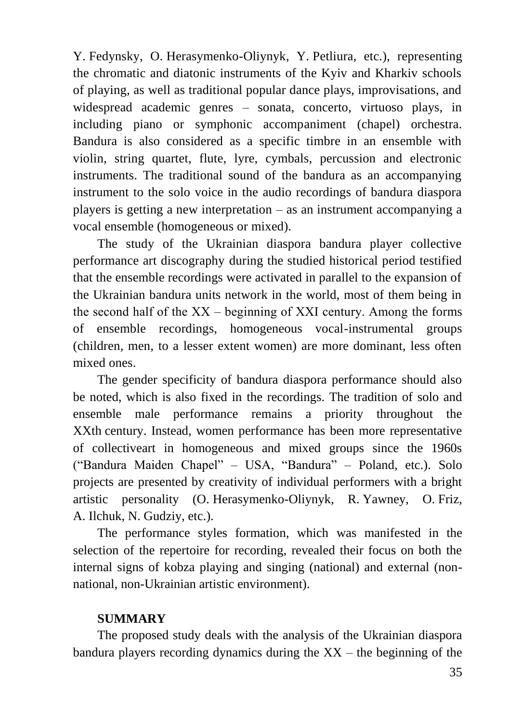Y. Fedynsky, O. Herasymenko-Oliynyk, Y. Petliura, etc.), representing the chromatic and diatonic instruments of the Kyiv and Kharkiv schools of playing, as well as traditional popular dance plays, improvisations, and widespread academic genres – sonata, concerto, virtuoso plays, in including piano or symphonic accompaniment (chapel) orchestra. Bandura is also considered as a specific timbre in an ensemble with violin, string quartet, flute, lyre, cymbals, percussion and electronic instruments. The traditional sound of the bandura as an accompanying instrument to the solo voice in the audio recordings of bandura diaspora players is getting a new interpretation – as an instrument accompanying a vocal ensemble (homogeneous or mixed).

The study of the Ukrainian diaspora bandura player collective performance art discography during the studied historical period testified that the ensemble recordings were activated in parallel to the expansion of the Ukrainian bandura units network in the world, most of them being in the second half of the  $XX$  – beginning of XXI century. Among the forms of ensemble recordings, homogeneous vocal-instrumental groups (children, men, to a lesser extent women) are more dominant, less often mixed ones.

The gender specificity of bandura diaspora performance should also be noted, which is also fixed in the recordings. The tradition of solo and ensemble male performance remains a priority throughout the XXth century. Instead, women performance has been more representative of collectiveart in homogeneous and mixed groups since the 1960s ("Bandura Maiden Chapel" – USA, "Bandura" – Poland, etc.). Solo projects are presented by creativity of individual performers with a bright artistic personality (O. Herasymenko-Oliynyk, R. Yawney, O. Friz, A. Ilchuk, N. Gudziy, etc.).

The performance styles formation, which was manifested in the selection of the repertoire for recording, revealed their focus on both the internal signs of kobza playing and singing (national) and external (nonnational, non-Ukrainian artistic environment).

# **SUMMARY**

The proposed study deals with the analysis of the Ukrainian diaspora bandura players recording dynamics during the  $XX$  – the beginning of the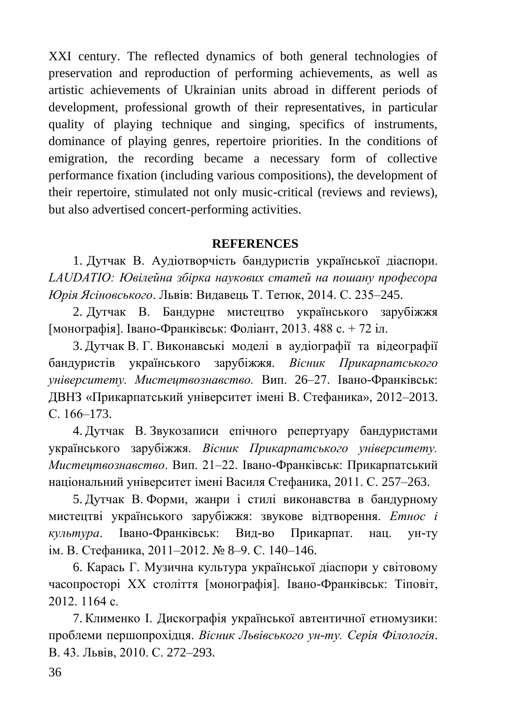XXI century. The reflected dynamics of both general technologies of preservation and reproduction of performing achievements, as well as artistic achievements of Ukrainian units abroad in different periods of development, professional growth of their representatives, in particular quality of playing technique and singing, specifics of instruments, dominance of playing genres, repertoire priorities. In the conditions of emigration, the recording became a necessary form of collective performance fixation (including various compositions), the development of their repertoire, stimulated not only music-critical (reviews and reviews), but also advertised concert-performing activities.

# **REFERENCES**

1. Дутчак В. Аудіотворчість бандуристів української діаспори. *LAUDATIO: Ювілейна збірка наукових статей на пошану професора Юрія Ясіновського*. Львів: Видавець Т. Тетюк, 2014. С. 235–245.

2. Дутчак В. Бандурне мистецтво українського зарубіжжя [монографія]. Івано-Франківськ: Фоліант, 2013. 488 с. + 72 іл.

3. Дутчак В. Г. Виконавські моделі в аудіографії та відеографії бандуристів українського зарубіжжя. *Вісник Прикарпатського університету. Мистецтвознавство.* Вип. 26–27. Івано-Франківськ: ДВНЗ «Прикарпатський університет імені В. Стефаника», 2012–2013. С. 166–173.

4. Дутчак В. Звукозаписи епічного репертуару бандуристами українського зарубіжжя. *Вісник Прикарпатського університету. Мистецтвознавство*. Вип. 21–22. Івано-Франківськ: Прикарпатський національний університет імені Василя Стефаника, 2011. С. 257–263.

5. Дутчак В. Форми, жанри і стилі виконавства в бандурному мистецтві українського зарубіжжя: звукове відтворення. *Етнос і культура*. Івано-Франківськ: Вид-во Прикарпат. нац. ун-ту ім. В. Стефаника, 2011–2012. № 8–9. С. 140–146.

6. Карась Г. Музична культура української діаспори у світовому часопросторі ХХ століття [монографія]. Івано-Франківськ: Тіповіт, 2012. 1164 с.

7. Клименко І. Дискографія української автентичної етномузики: проблеми першопрохідця. *Вісник Львівського ун-ту. Серія Філологія*. В. 43. Львів, 2010. С. 272–293.